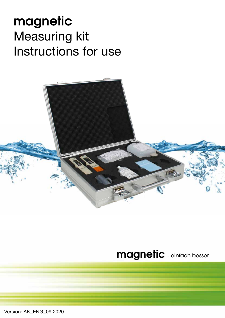# **magnetic** Measuring kit Instructions for use



## **magnetic**...einfach besser

Version: AK\_ENG\_09.2020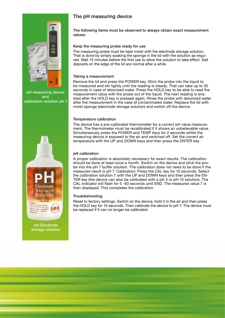

pH measuring device and calibration solution ph 7



pH Electrode storage solution

## The pH measuring device

The following items must be observed to always obtain exact measurement values:

#### Keep the measuring probe ready for use

The measuring probe must be kept moist with the electrode storage solution. That is done by simply soaking the sponge in the lid with the solution as required. Wait 15 minutes before the first use to allow the solution to take effect. Salt deposits on the edge of the lid are normal after a while

#### Taking a measurement

Remove the lid and press the POWER key. Stick the probe into the liquid to be measured and stir lightly until the reading is steady. That can take up to 30 seconds in case of deionized water. Press the HOLD key to be able to read the measurement value with the probe out of the liquid. The next reading is enabled after the HOLD key is pressed again. Rinse the probe with deionized water after the measurement in the case of contaminated water. Replace the lid with moist sponge (electrode storage solution) and switch off the device.

#### Temperature calibration

The device has a pre-calibrated thermometer for a correct pH value measurement. The thermometer must be recalibrated if it shows an unbelievable value. Simultaneously press the POWER and TEMP keys for 2 seconds whilst the measuring device is exposed to the air and switched off. Set the correct air temperature with the UP and DOWN keys and then press the ENTER key.

#### pH calibration

A proper calibration is absolutely necessary for exact results. The calibration should be done at least once a month. Switch on the device and stick the probe into the pH 7 buffer solution. The calibration does not need to be done if the measured result is pH 7. Calibration: Press the CAL key for 10 seconds. Select the calibration solution 7 with the UP and DOWN keys and then press the EN-TER key (the device can also be calibrated with a pH 4 or pH 10 solution). The CAL indicator will flash for 5 -60 seconds until END. The measured value 7 is then displayed. This completes the calibration.

#### **Troubleshooting**

Reset to factory settings: Switch on the device, hold it in the air and then press the HOLD key for 10 seconds. Then calibrate the device to pH 7. The device must be replaced if it can no longer be calibrated.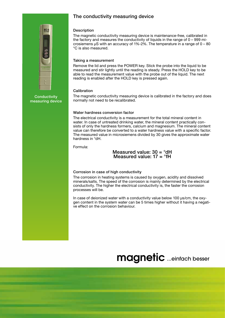### The conductivity measuring device



**Conductivity** measuring device

#### **Description**

The magnetic conductivity measuring device is maintenance-free, calibrated in the factory and measures the conductivity of liquids in the range of 0 – 999 microsiemens μS with an accuracy of 1%-2%. The temperature in a range of 0 – 80 °C is also measured.

#### Taking a measurement

Remove the lid and press the POWER key. Stick the probe into the liquid to be measured and stir lightly until the reading is steady. Press the HOLD key to be able to read the measurement value with the probe out of the liquid. The next reading is enabled after the HOLD key is pressed again.

#### **Calibration**

The magnetic conductivity measuring device is calibrated in the factory and does normally not need to be recalibrated.

#### Water hardness conversion factor

The electrical conductivity is a measurement for the total mineral content in water. In case of untreated drinking water, the mineral content practically consists of only the hardness formers, calcium and magnesium. The mineral content value can therefore be converted to a water hardness value with a specific factor. The measured value in microsiemens divided by 30 gives the approximate water hardness in °dH.

Formula:

Measured value:  $30 = \textdegree dH$ Measured value:  $17 = 9$ fH

#### Corrosion in case of high conductivity

The corrosion in heating systems is caused by oxygen, acidity and dissolved minerals/salts. The speed of the corrosion is mainly determined by the electrical conductivity. The higher the electrical conductivity is, the faster the corrosion processes will be.

In case of deionized water with a conductivity value below 100 μs/cm, the oxygen content in the system water can be 5 times higher without it having a negative effect on the corrosion behaviour.

## **magnetic** ...einfach besser